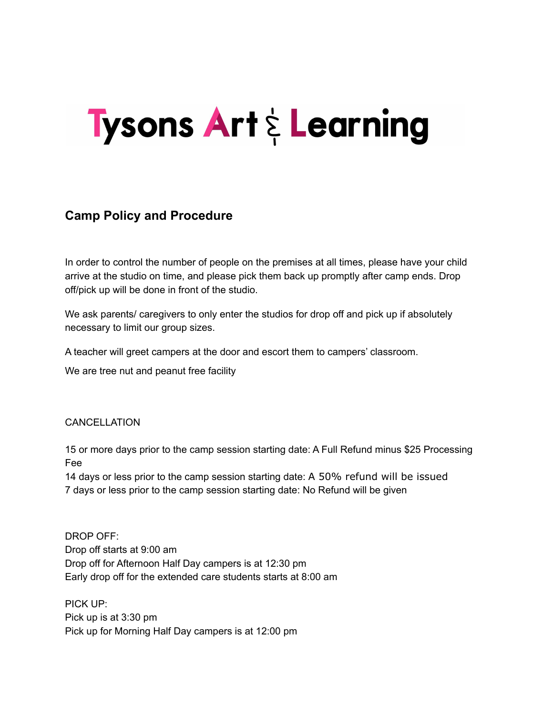## **Tysons Art & Learning**

## **Camp Policy and Procedure**

In order to control the number of people on the premises at all times, please have your child arrive at the studio on time, and please pick them back up promptly after camp ends. Drop off/pick up will be done in front of the studio.

We ask parents/ caregivers to only enter the studios for drop off and pick up if absolutely necessary to limit our group sizes.

A teacher will greet campers at the door and escort them to campers' classroom.

We are tree nut and peanut free facility

## CANCELLATION

15 or more days prior to the camp session starting date: A Full Refund minus \$25 Processing Fee

14 days or less prior to the camp session starting date: A 50% refund will be issued 7 days or less prior to the camp session starting date: No Refund will be given

DROP OFF: Drop off starts at 9:00 am Drop off for Afternoon Half Day campers is at 12:30 pm Early drop off for the extended care students starts at 8:00 am

PICK UP: Pick up is at 3:30 pm Pick up for Morning Half Day campers is at 12:00 pm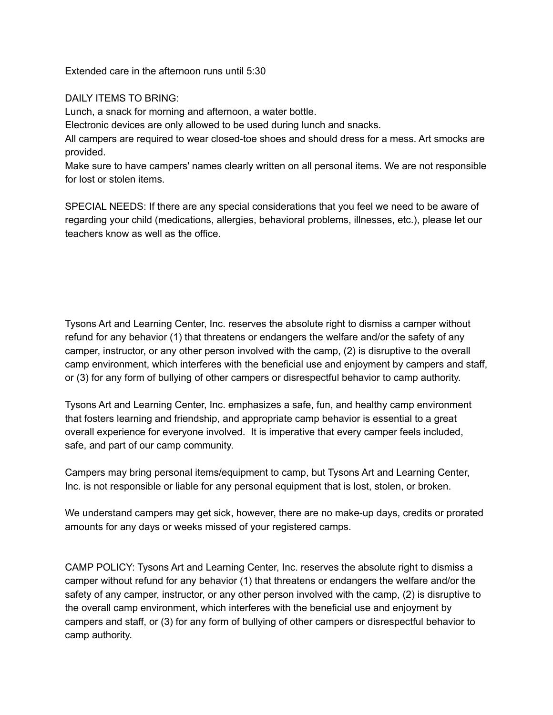Extended care in the afternoon runs until 5:30

## DAILY ITEMS TO BRING:

Lunch, a snack for morning and afternoon, a water bottle.

Electronic devices are only allowed to be used during lunch and snacks.

All campers are required to wear closed-toe shoes and should dress for a mess. Art smocks are provided.

Make sure to have campers' names clearly written on all personal items. We are not responsible for lost or stolen items.

SPECIAL NEEDS: If there are any special considerations that you feel we need to be aware of regarding your child (medications, allergies, behavioral problems, illnesses, etc.), please let our teachers know as well as the office.

Tysons Art and Learning Center, Inc. reserves the absolute right to dismiss a camper without refund for any behavior (1) that threatens or endangers the welfare and/or the safety of any camper, instructor, or any other person involved with the camp, (2) is disruptive to the overall camp environment, which interferes with the beneficial use and enjoyment by campers and staff, or (3) for any form of bullying of other campers or disrespectful behavior to camp authority.

Tysons Art and Learning Center, Inc. emphasizes a safe, fun, and healthy camp environment that fosters learning and friendship, and appropriate camp behavior is essential to a great overall experience for everyone involved. It is imperative that every camper feels included, safe, and part of our camp community.

Campers may bring personal items/equipment to camp, but Tysons Art and Learning Center, Inc. is not responsible or liable for any personal equipment that is lost, stolen, or broken.

We understand campers may get sick, however, there are no make-up days, credits or prorated amounts for any days or weeks missed of your registered camps.

CAMP POLICY: Tysons Art and Learning Center, Inc. reserves the absolute right to dismiss a camper without refund for any behavior (1) that threatens or endangers the welfare and/or the safety of any camper, instructor, or any other person involved with the camp, (2) is disruptive to the overall camp environment, which interferes with the beneficial use and enjoyment by campers and staff, or (3) for any form of bullying of other campers or disrespectful behavior to camp authority.